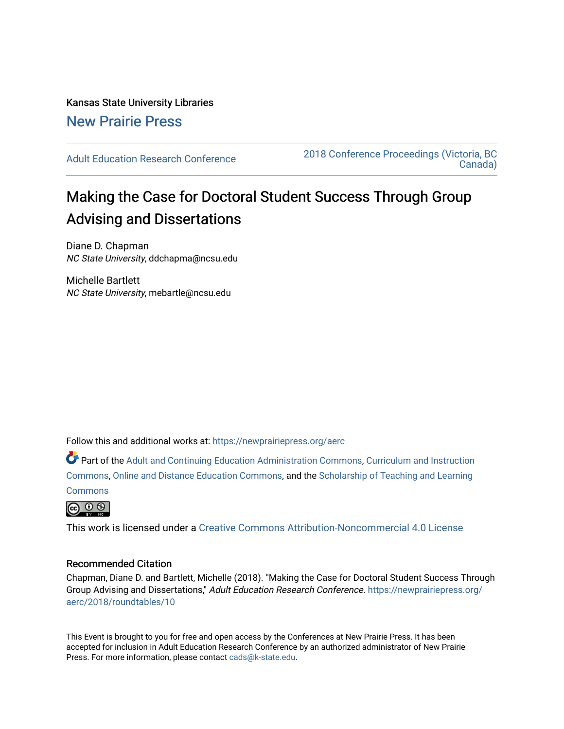## Kansas State University Libraries [New Prairie Press](https://newprairiepress.org/)

[Adult Education Research Conference](https://newprairiepress.org/aerc) [2018 Conference Proceedings \(Victoria, BC](https://newprairiepress.org/aerc/2018)  [Canada\)](https://newprairiepress.org/aerc/2018) 

# Making the Case for Doctoral Student Success Through Group Advising and Dissertations

Diane D. Chapman NC State University, ddchapma@ncsu.edu

Michelle Bartlett NC State University, mebartle@ncsu.edu

Follow this and additional works at: [https://newprairiepress.org/aerc](https://newprairiepress.org/aerc?utm_source=newprairiepress.org%2Faerc%2F2018%2Froundtables%2F10&utm_medium=PDF&utm_campaign=PDFCoverPages)

Part of the [Adult and Continuing Education Administration Commons](http://network.bepress.com/hgg/discipline/789?utm_source=newprairiepress.org%2Faerc%2F2018%2Froundtables%2F10&utm_medium=PDF&utm_campaign=PDFCoverPages), [Curriculum and Instruction](http://network.bepress.com/hgg/discipline/786?utm_source=newprairiepress.org%2Faerc%2F2018%2Froundtables%2F10&utm_medium=PDF&utm_campaign=PDFCoverPages)  [Commons](http://network.bepress.com/hgg/discipline/786?utm_source=newprairiepress.org%2Faerc%2F2018%2Froundtables%2F10&utm_medium=PDF&utm_campaign=PDFCoverPages), [Online and Distance Education Commons](http://network.bepress.com/hgg/discipline/1296?utm_source=newprairiepress.org%2Faerc%2F2018%2Froundtables%2F10&utm_medium=PDF&utm_campaign=PDFCoverPages), and the [Scholarship of Teaching and Learning](http://network.bepress.com/hgg/discipline/1328?utm_source=newprairiepress.org%2Faerc%2F2018%2Froundtables%2F10&utm_medium=PDF&utm_campaign=PDFCoverPages)  **[Commons](http://network.bepress.com/hgg/discipline/1328?utm_source=newprairiepress.org%2Faerc%2F2018%2Froundtables%2F10&utm_medium=PDF&utm_campaign=PDFCoverPages)** 



This work is licensed under a [Creative Commons Attribution-Noncommercial 4.0 License](https://creativecommons.org/licenses/by-nc/4.0/)

### Recommended Citation

Chapman, Diane D. and Bartlett, Michelle (2018). "Making the Case for Doctoral Student Success Through Group Advising and Dissertations," Adult Education Research Conference. [https://newprairiepress.org/](https://newprairiepress.org/aerc/2018/roundtables/10) [aerc/2018/roundtables/10](https://newprairiepress.org/aerc/2018/roundtables/10)

This Event is brought to you for free and open access by the Conferences at New Prairie Press. It has been accepted for inclusion in Adult Education Research Conference by an authorized administrator of New Prairie Press. For more information, please contact [cads@k-state.edu.](mailto:cads@k-state.edu)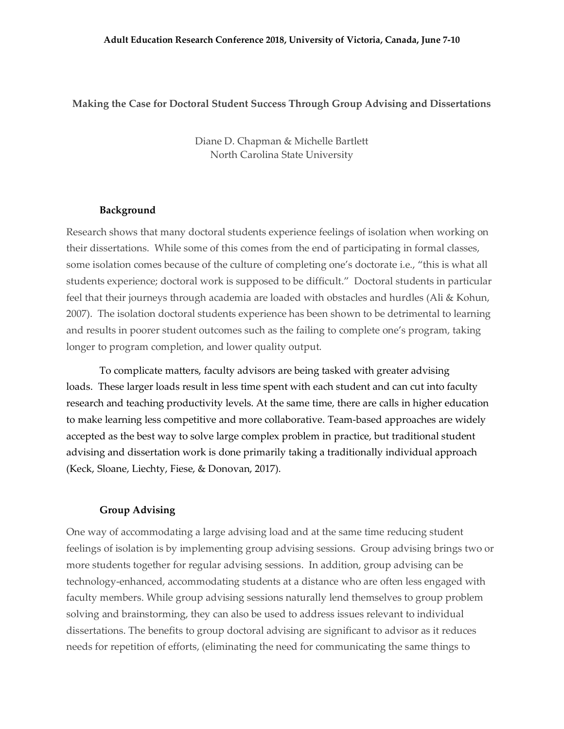#### **Making the Case for Doctoral Student Success Through Group Advising and Dissertations**

Diane D. Chapman & Michelle Bartlett North Carolina State University

#### **Background**

Research shows that many doctoral students experience feelings of isolation when working on their dissertations. While some of this comes from the end of participating in formal classes, some isolation comes because of the culture of completing one's doctorate i.e., "this is what all students experience; doctoral work is supposed to be difficult." Doctoral students in particular feel that their journeys through academia are loaded with obstacles and hurdles (Ali & Kohun, 2007). The isolation doctoral students experience has been shown to be detrimental to learning and results in poorer student outcomes such as the failing to complete one's program, taking longer to program completion, and lower quality output.

To complicate matters, faculty advisors are being tasked with greater advising loads. These larger loads result in less time spent with each student and can cut into faculty research and teaching productivity levels. At the same time, there are calls in higher education to make learning less competitive and more collaborative. Team-based approaches are widely accepted as the best way to solve large complex problem in practice, but traditional student advising and dissertation work is done primarily taking a traditionally individual approach (Keck, Sloane, Liechty, Fiese, & Donovan, 2017).

#### **Group Advising**

One way of accommodating a large advising load and at the same time reducing student feelings of isolation is by implementing group advising sessions. Group advising brings two or more students together for regular advising sessions. In addition, group advising can be technology-enhanced, accommodating students at a distance who are often less engaged with faculty members. While group advising sessions naturally lend themselves to group problem solving and brainstorming, they can also be used to address issues relevant to individual dissertations. The benefits to group doctoral advising are significant to advisor as it reduces needs for repetition of efforts, (eliminating the need for communicating the same things to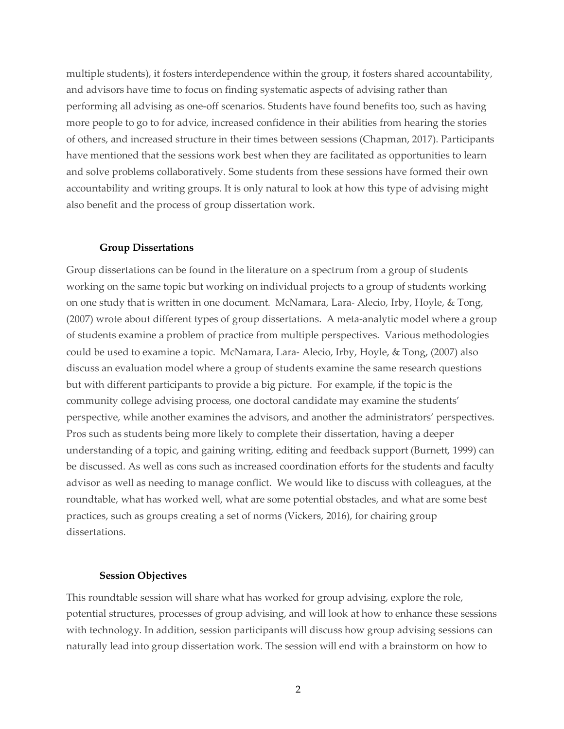multiple students), it fosters interdependence within the group, it fosters shared accountability, and advisors have time to focus on finding systematic aspects of advising rather than performing all advising as one-off scenarios. Students have found benefits too, such as having more people to go to for advice, increased confidence in their abilities from hearing the stories of others, and increased structure in their times between sessions (Chapman, 2017). Participants have mentioned that the sessions work best when they are facilitated as opportunities to learn and solve problems collaboratively. Some students from these sessions have formed their own accountability and writing groups. It is only natural to look at how this type of advising might also benefit and the process of group dissertation work.

#### **Group Dissertations**

Group dissertations can be found in the literature on a spectrum from a group of students working on the same topic but working on individual projects to a group of students working on one study that is written in one document. McNamara, Lara- Alecio, Irby, Hoyle, & Tong, (2007) wrote about different types of group dissertations. A meta-analytic model where a group of students examine a problem of practice from multiple perspectives. Various methodologies could be used to examine a topic. McNamara, Lara- Alecio, Irby, Hoyle, & Tong, (2007) also discuss an evaluation model where a group of students examine the same research questions but with different participants to provide a big picture. For example, if the topic is the community college advising process, one doctoral candidate may examine the students' perspective, while another examines the advisors, and another the administrators' perspectives. Pros such as students being more likely to complete their dissertation, having a deeper understanding of a topic, and gaining writing, editing and feedback support (Burnett, 1999) can be discussed. As well as cons such as increased coordination efforts for the students and faculty advisor as well as needing to manage conflict. We would like to discuss with colleagues, at the roundtable, what has worked well, what are some potential obstacles, and what are some best practices, such as groups creating a set of norms (Vickers, 2016), for chairing group dissertations.

#### **Session Objectives**

This roundtable session will share what has worked for group advising, explore the role, potential structures, processes of group advising, and will look at how to enhance these sessions with technology. In addition, session participants will discuss how group advising sessions can naturally lead into group dissertation work. The session will end with a brainstorm on how to